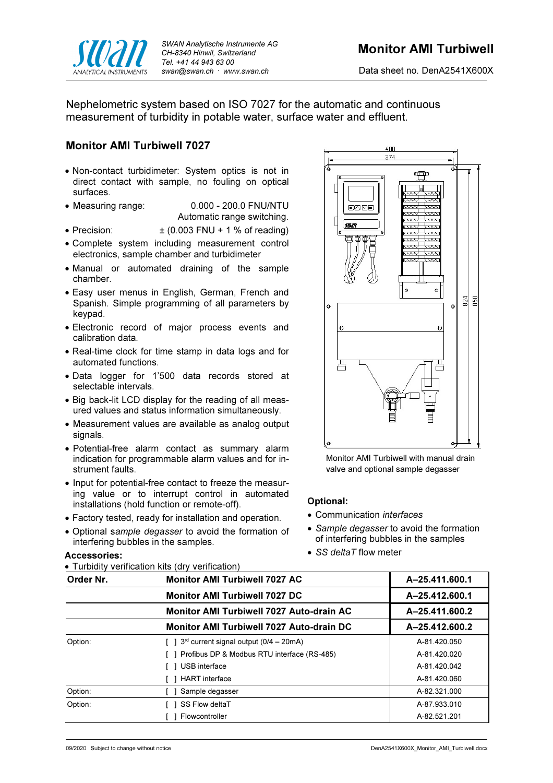

Data sheet no. DenA2541X600X

Nephelometric system based on ISO 7027 for the automatic and continuous measurement of turbidity in potable water, surface water and effluent.

## Monitor AMI Turbiwell 7027

- Non-contact turbidimeter: System optics is not in direct contact with sample, no fouling on optical surfaces.
- Measuring range: 0.000 200.0 FNU/NTU Automatic range switching.
- Precision:  $\pm (0.003$  FNU + 1 % of reading)
- Complete system including measurement control electronics, sample chamber and turbidimeter
- Manual or automated draining of the sample chamber.
- Easy user menus in English, German, French and Spanish. Simple programming of all parameters by keypad.
- Electronic record of major process events and calibration data.
- Real-time clock for time stamp in data logs and for automated functions.
- Data logger for 1'500 data records stored at selectable intervals.
- Big back-lit LCD display for the reading of all measured values and status information simultaneously.
- Measurement values are available as analog output signals.
- Potential-free alarm contact as summary alarm indication for programmable alarm values and for instrument faults.
- Input for potential-free contact to freeze the measuring value or to interrupt control in automated installations (hold function or remote-off).
- Factory tested, ready for installation and operation.
- Optional sample degasser to avoid the formation of interfering bubbles in the samples.

### Accessories:

Turbidity verification kits (dry verification)



Monitor AMI Turbiwell with manual drain valve and optional sample degasser

### Optional:

- Communication *interfaces*
- Sample degasser to avoid the formation of interfering bubbles in the samples
- SS deltaT flow meter

| Order Nr. | <b>Monitor AMI Turbiwell 7027 AC</b>                          | A-25.411.600.1 |
|-----------|---------------------------------------------------------------|----------------|
|           | <b>Monitor AMI Turbiwell 7027 DC</b>                          | A-25.412.600.1 |
|           | <b>Monitor AMI Turbiwell 7027 Auto-drain AC</b>               | A-25.411.600.2 |
|           | Monitor AMI Turbiwell 7027 Auto-drain DC                      | A-25.412.600.2 |
| Option:   | $\lceil$   3 <sup>rd</sup> current signal output (0/4 – 20mA) | A-81.420.050   |
|           | [ ] Profibus DP & Modbus RTU interface (RS-485)               | A-81.420.020   |
|           | USB interface                                                 | A-81.420.042   |
|           | <b>HART</b> interface                                         | A-81.420.060   |
| Option:   | Sample degasser                                               | A-82.321.000   |
| Option:   | SS Flow deltaT                                                | A-87.933.010   |
|           | Flowcontroller                                                | A-82.521.201   |